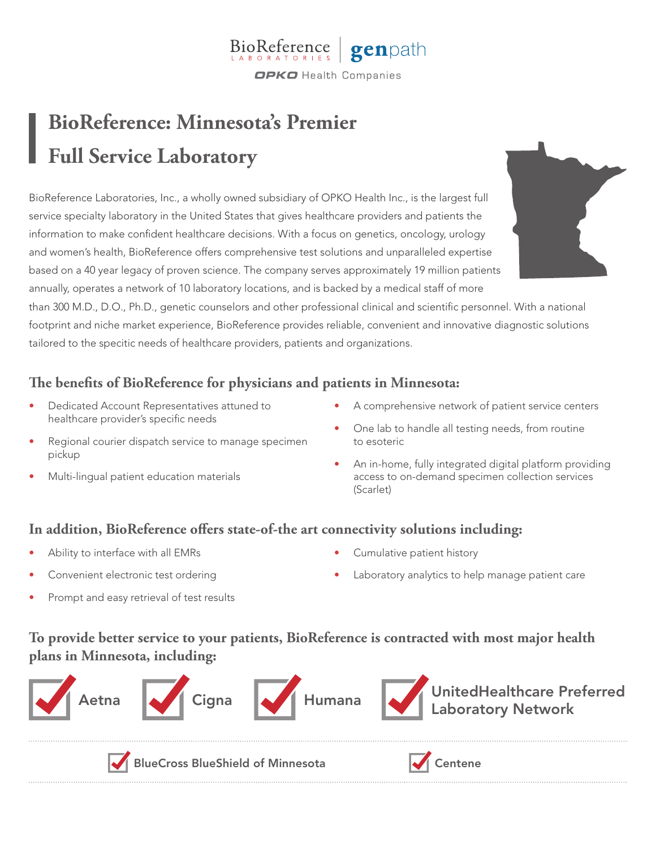#### **BioReference** genpath **OPKO** Health Companies

# **BioReference: Minnesota's Premier Full Service Laboratory**

BioReference Laboratories, Inc., a wholly owned subsidiary of OPKO Health Inc., is the largest full service specialty laboratory in the United States that gives healthcare providers and patients the information to make confident healthcare decisions. With a focus on genetics, oncology, urology and women's health, BioReference offers comprehensive test solutions and unparalleled expertise based on a 40 year legacy of proven science. The company serves approximately 19 million patients annually, operates a network of 10 laboratory locations, and is backed by a medical staff of more

than 300 M.D., D.O., Ph.D., genetic counselors and other professional clinical and scientific personnel. With a national footprint and niche market experience, BioReference provides reliable, convenient and innovative diagnostic solutions tailored to the specitic needs of healthcare providers, patients and organizations.

# **The benefits of BioReference for physicians and patients in Minnesota:**

- Dedicated Account Representatives attuned to healthcare provider's specific needs
- Regional courier dispatch service to manage specimen pickup
- Multi-lingual patient education materials
- A comprehensive network of patient service centers
- One lab to handle all testing needs, from routine to esoteric
- An in-home, fully integrated digital platform providing access to on-demand specimen collection services (Scarlet)

## **In addition, BioReference offers state-of-the art connectivity solutions including:**

- Ability to interface with all EMRs
- Convenient electronic test ordering
- Cumulative patient history
	- Laboratory analytics to help manage patient care

Prompt and easy retrieval of test results

**To provide better service to your patients, BioReference is contracted with most major health plans in Minnesota, including:**